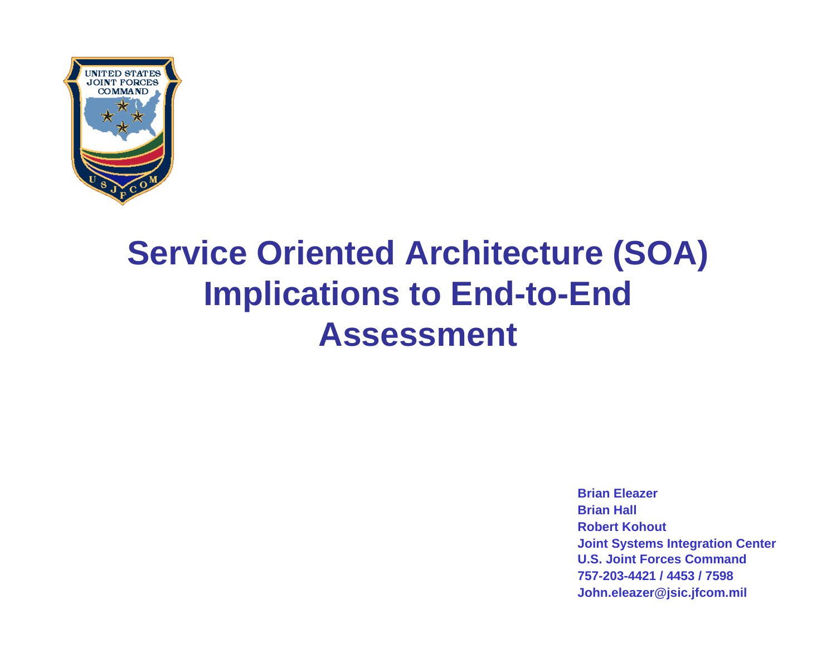

## **Service Oriented Architecture (SOA) Implications to End-to-End Assessment**

**Brian EleazerBrian HallRobert KohoutJoint Systems Integration Center U.S. Joint Forces Command757-203-4421 / 4453 / 7598John.eleazer@jsic.jfcom.mil**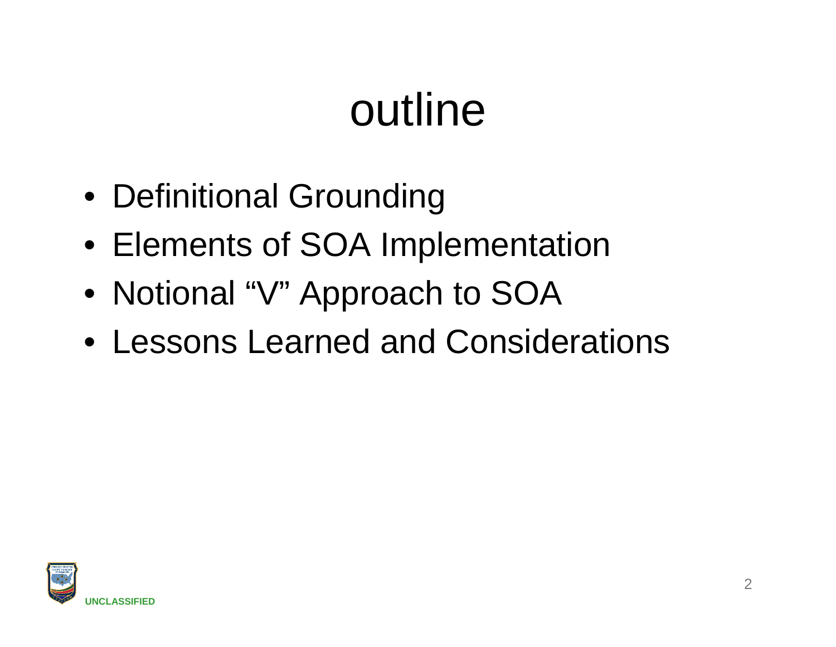# outline

- Definitional Grounding
- Elements of SOA Implementation
- Notional "V" Approach to SOA
- Lessons Learned and Considerations

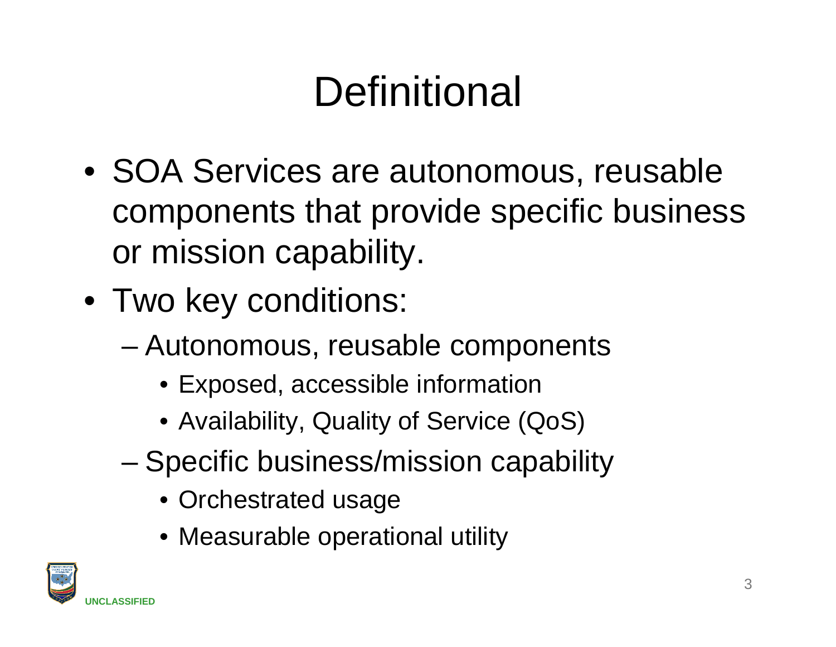# **Definitional**

- SOA Services are autonomous, reusable components that provide specific business or mission capability.
- Two key conditions:
	- Autonomous, reusable components
		- Exposed, accessible information
		- Availability, Quality of Service (QoS)
	- Specific business/mission capability
		- Orchestrated usage
		- Measurable operational utility

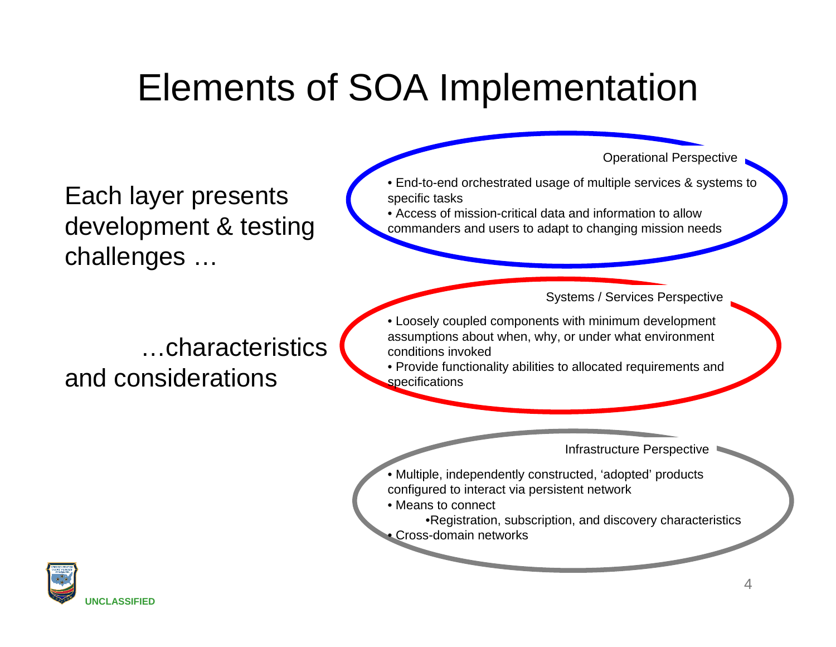## Elements of SOA Implementation

Each layer presents development & testing challenges …

Operational Perspective

• End-to-end orchestrated usage of multiple services & systems to specific tasks

• Access of mission-critical data and information to allow commanders and users to adapt to changing mission needs

Systems / Services Perspective

### …characteristics and considerations

• Loosely coupled components with minimum development assumptions about when, why, or under what environment conditions invoked

• Provide functionality abilities to allocated requirements and specifications

Infrastructure Perspective

- Multiple, independently constructed, 'adopted' products configured to interact via persistent network
- Means to connect

•Registration, subscription, and discovery characteristics • Cross-domain networks

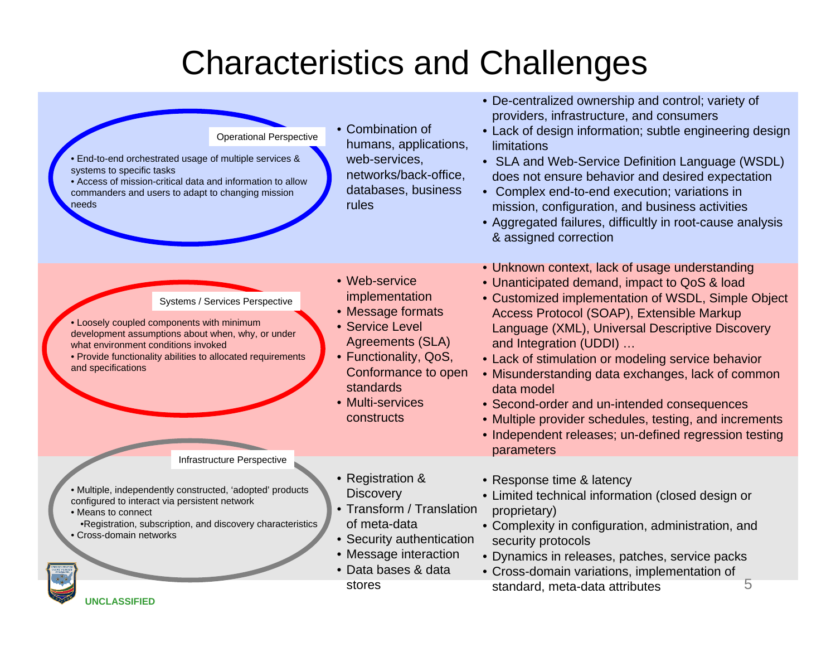### Characteristics and Challenges

| <b>Operational Perspective</b><br>. End-to-end orchestrated usage of multiple services &<br>systems to specific tasks<br>• Access of mission-critical data and information to allow<br>commanders and users to adapt to changing mission<br>needs            | • Combination of<br>humans, applications,<br>web-services,<br>networks/back-office,<br>databases, business<br>rules                                                                               | • De-centralized ownership and control; variety of<br>providers, infrastructure, and consumers<br>• Lack of design information; subtle engineering design<br>limitations<br>• SLA and Web-Service Definition Language (WSDL)<br>does not ensure behavior and desired expectation<br>Complex end-to-end execution; variations in<br>mission, configuration, and business activities<br>• Aggregated failures, difficultly in root-cause analysis<br>& assigned correction                                                                                                                |
|--------------------------------------------------------------------------------------------------------------------------------------------------------------------------------------------------------------------------------------------------------------|---------------------------------------------------------------------------------------------------------------------------------------------------------------------------------------------------|-----------------------------------------------------------------------------------------------------------------------------------------------------------------------------------------------------------------------------------------------------------------------------------------------------------------------------------------------------------------------------------------------------------------------------------------------------------------------------------------------------------------------------------------------------------------------------------------|
| Systems / Services Perspective<br>• Loosely coupled components with minimum<br>development assumptions about when, why, or under<br>what environment conditions invoked<br>• Provide functionality abilities to allocated requirements<br>and specifications | • Web-service<br>implementation<br>• Message formats<br>• Service Level<br><b>Agreements (SLA)</b><br>• Functionality, QoS,<br>Conformance to open<br>standards<br>• Multi-services<br>constructs | • Unknown context, lack of usage understanding<br>• Unanticipated demand, impact to QoS & load<br>• Customized implementation of WSDL, Simple Object<br>Access Protocol (SOAP), Extensible Markup<br>Language (XML), Universal Descriptive Discovery<br>and Integration (UDDI)<br>• Lack of stimulation or modeling service behavior<br>• Misunderstanding data exchanges, lack of common<br>data model<br>• Second-order and un-intended consequences<br>• Multiple provider schedules, testing, and increments<br>• Independent releases; un-defined regression testing<br>parameters |
| Infrastructure Perspective<br>· Multiple, independently constructed, 'adopted' products<br>configured to interact via persistent network<br>• Means to connect<br>.Registration, subscription, and discovery characteristics<br>• Cross-domain networks      | • Registration &<br><b>Discovery</b><br>• Transform / Translation<br>of meta-data<br>• Security authentication<br>• Message interaction<br>• Data bases & data                                    | • Response time & latency<br>• Limited technical information (closed design or<br>proprietary)<br>• Complexity in configuration, administration, and<br>security protocols<br>• Dynamics in releases, patches, service packs<br>• Cross-domain variations, implementation of                                                                                                                                                                                                                                                                                                            |
| <b>UNCLASSIFIED</b>                                                                                                                                                                                                                                          | stores                                                                                                                                                                                            | 5<br>standard, meta-data attributes                                                                                                                                                                                                                                                                                                                                                                                                                                                                                                                                                     |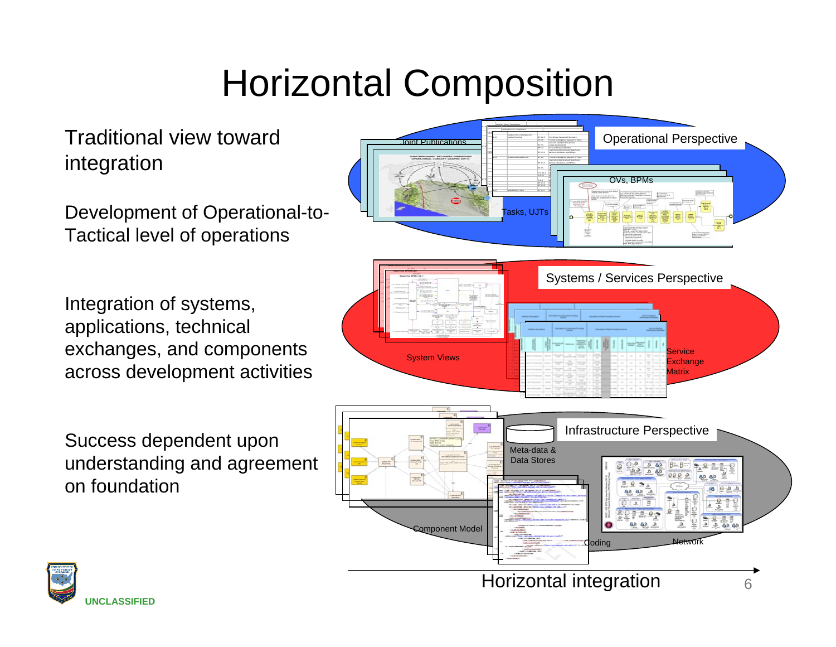## Horizontal Composition

Traditional view toward integration

Development of Operational-to-Tactical level of operations

Integration of systems, applications, technical exchanges, and components across development activities

Success dependent upon understanding and agreement on foundation



OP THE REPORT OF THE REAL PROPERTY

e por

 6.2.9 Coordinate Personnel Recovery 2.6 Provide Intelligence Support to and Maintain Situational Understanding 5.3 Prepare Plans andOperationally Significant

 $\overline{\phantom{a}}$  .  $\overline{\phantom{a}}$  2.6 Provide Intelligence Support toCoordinate Personnel! Understanding

 6.2.9Coordinate Personnel Recovery 2.6 Provide Intelligence Support toPlans

Horizontal integration

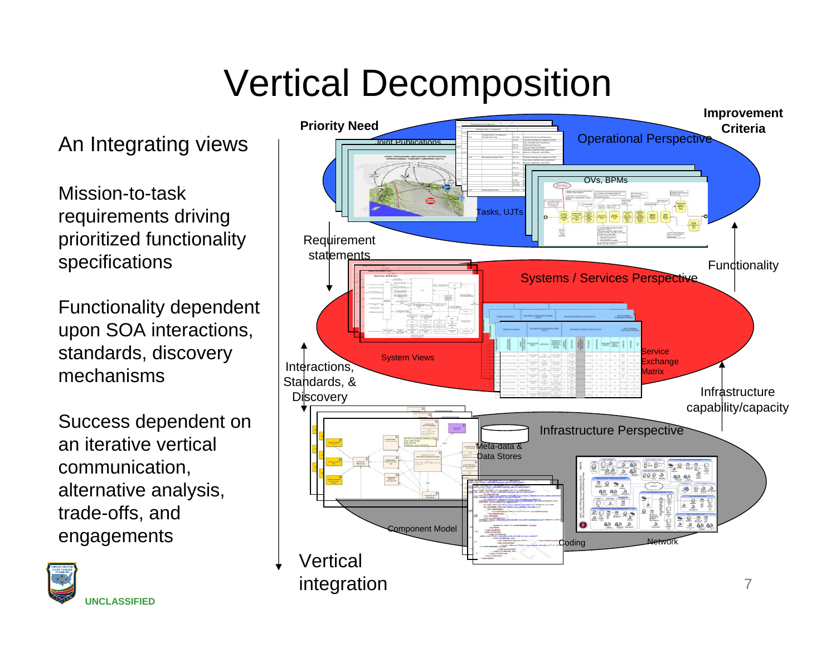## Vertical Decomposition

An Integrating views

Mission-to-task requirements driving prioritized functionality specifications

Functionality dependent upon SOA interactions, standards, discovery mechanisms

Success dependent on an iterative vertical communication, alternative analysis, trade-offs, and engagements



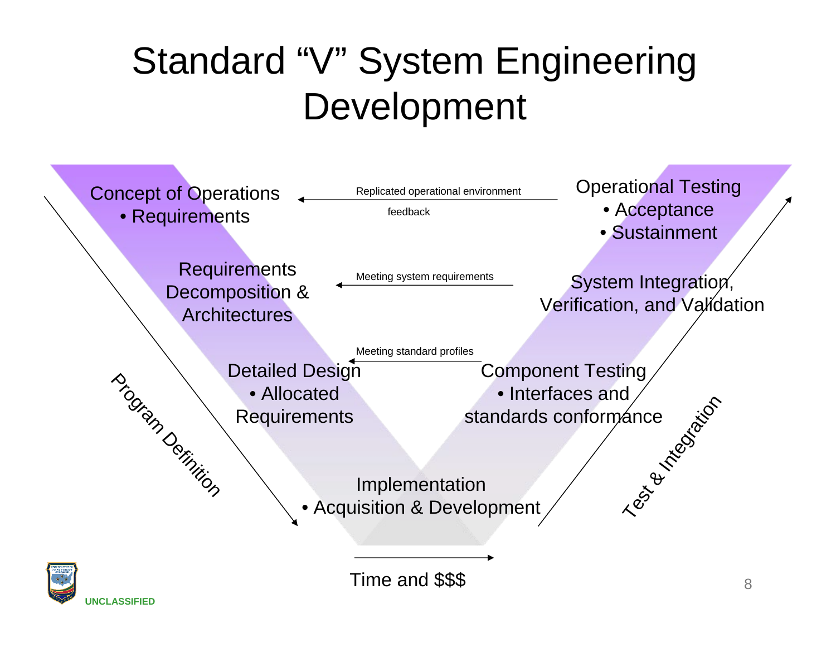## Standard "V" System Engineering Development





Time and \$\$\$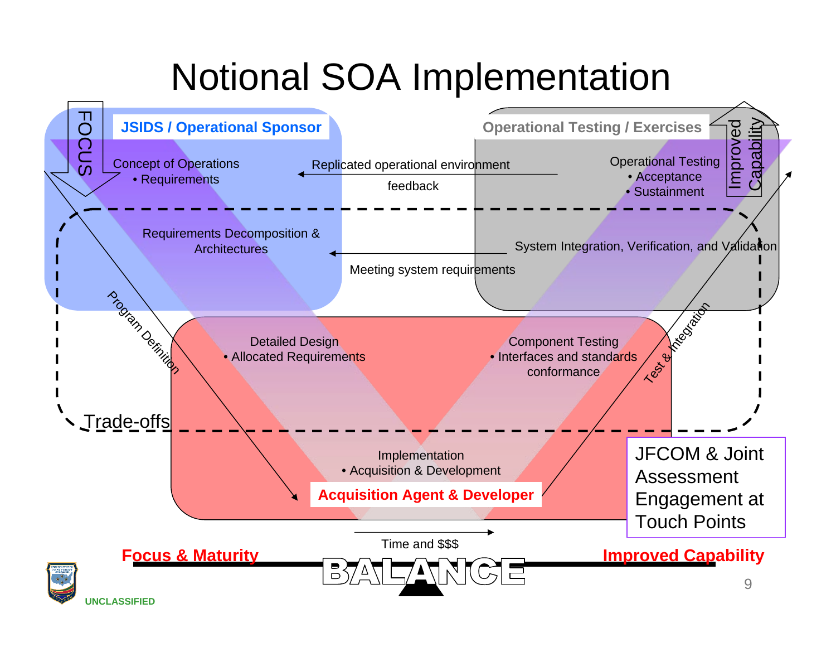## Notional SOA Implementation

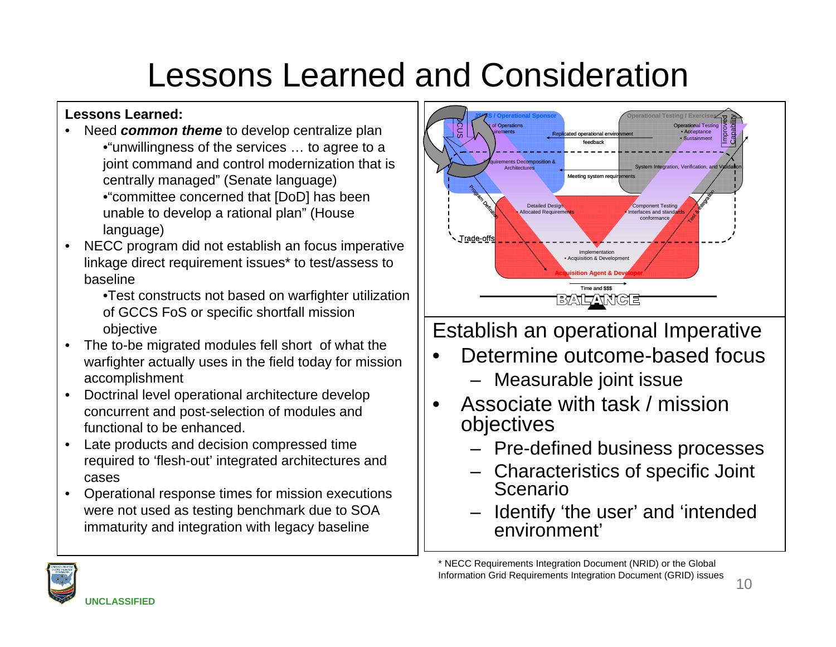#### **Lessons Learned:**

- Need *common theme* to develop centralize plan •"unwillingness of the services … to agree to a joint command and control modernization that is centrally managed" (Senate language)
	- •"committee concerned that [DoD] has been unable to develop a rational plan" (House language)
- NECC program did not establish an focus imperative linkage direct requirement issues\* to test/assess to baseline
	- •Test constructs not based on warfighter utilization of GCCS FoS or specific shortfall mission objective
- The to-be migrated modules fell short of what the warfighter actually uses in the field today for mission accomplishment
- Doctrinal level operational architecture develop concurrent and post-selection of modules and functional to be enhanced.
- Late products and decision compressed time required to 'flesh-out' integrated architectures and cases
- Operational response times for mission executions were not used as testing benchmark due to SOA immaturity and integration with legacy baseline



Establish an operational Imperative

- Determine outcome-based focus
	- Measurable joint issue
- Associate with task / mission objectives
	- Pre-defined business processes
	- Characteristics of specific Joint Scenario
	- Identify 'the user' and 'intended environment'

\* NECC Requirements Integration Document (NRID) or the Global Information Grid Requirements Integration Document (GRID) issues

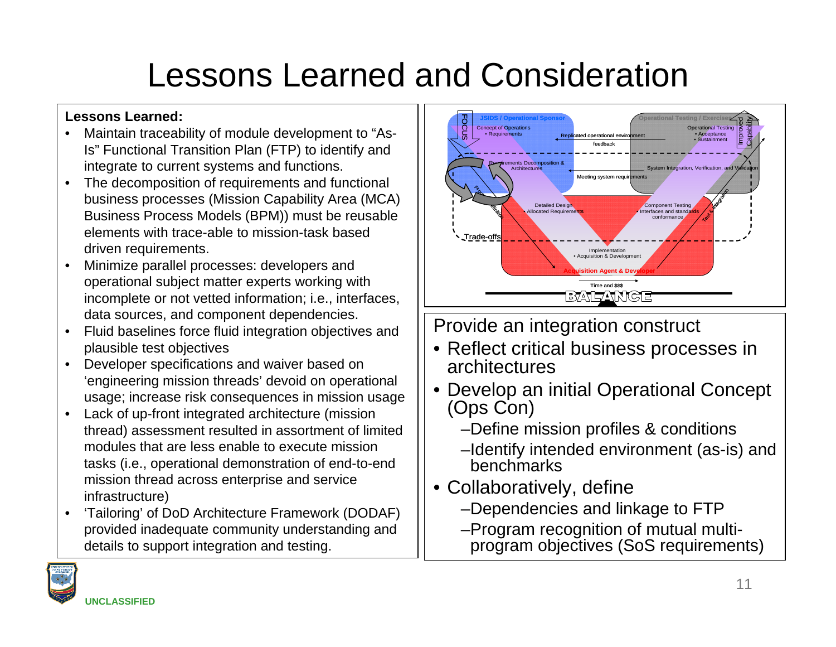#### **Lessons Learned:**

- Maintain traceability of module development to "As-Is" Functional Transition Plan (FTP) to identify and integrate to current systems and functions.
- The decomposition of requirements and functional business processes (Mission Capability Area (MCA) Business Process Models (BPM)) must be reusable elements with trace-able to mission-task based driven requirements.
- Minimize parallel processes: developers and operational subject matter experts working with incomplete or not vetted information; i.e., interfaces, data sources, and component dependencies.
- Fluid baselines force fluid integration objectives and plausible test objectives
- Developer specifications and waiver based on 'engineering mission threads' devoid on operational usage; increase risk consequences in mission usage
- Lack of up-front integrated architecture (mission thread) assessment resulted in assortment of limited modules that are less enable to execute mission tasks (i.e., operational demonstration of end-to-end mission thread across enterprise and service infrastructure)
- 'Tailoring' of DoD Architecture Framework (DODAF) provided inadequate community understanding and details to support integration and testing.



#### Provide an integration construct

- Reflect critical business processes in architectures
- Develop an initial Operational Concept (Ops Con)
	- –Define mission profiles & conditions
	- –Identify intended environment (as-is) and benchmarks
- Collaboratively, define
	- –Dependencies and linkage to FTP
	- –Program recognition of mutual multiprogram objectives (SoS requirements)

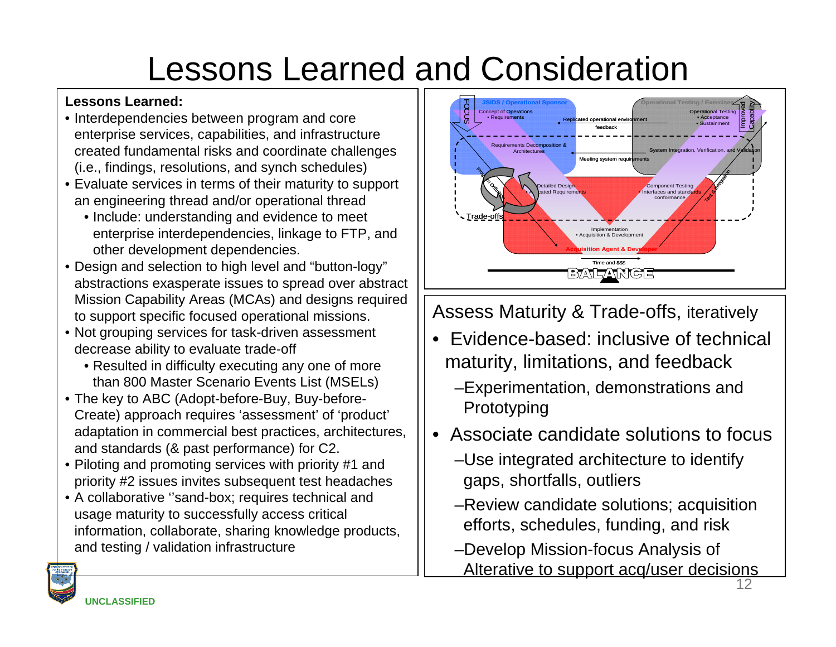#### **Lessons Learned:**

- Interdependencies between program and core enterprise services, capabilities, and infrastructure created fundamental risks and coordinate challenges (i.e., findings, resolutions, and synch schedules)
- Evaluate services in terms of their maturity to support an engineering thread and/or operational thread
	- Include: understanding and evidence to meet enterprise interdependencies, linkage to FTP, and other development dependencies.
- Design and selection to high level and "button-logy" abstractions exasperate issues to spread over abstract Mission Capability Areas (MCAs) and designs required to support specific focused operational missions.
- Not grouping services for task-driven assessment decrease ability to evaluate trade-off
	- Resulted in difficulty executing any one of more than 800 Master Scenario Events List (MSELs)
- The key to ABC (Adopt-before-Buy, Buy-before-Create) approach requires 'assessment' of 'product' adaptation in commercial best practices, architectures, and standards (& past performance) for C2.
- Piloting and promoting services with priority #1 and priority #2 issues invites subsequent test headaches
- A collaborative ''sand-box; requires technical and usage maturity to successfully access critical information, collaborate, sharing knowledge products, and testing / validation infrastructure



Assess Maturity & Trade-offs, iteratively

- Evidence-based: inclusive of technical maturity, limitations, and feedback
	- –Experimentation, demonstrations and Prototyping
- Associate candidate solutions to focus
	- –Use integrated architecture to identify gaps, shortfalls, outliers
	- –Review candidate solutions; acquisition efforts, schedules, funding, and risk
	- –Develop Mission-focus Analysis of Alterative to support acq/user decisions

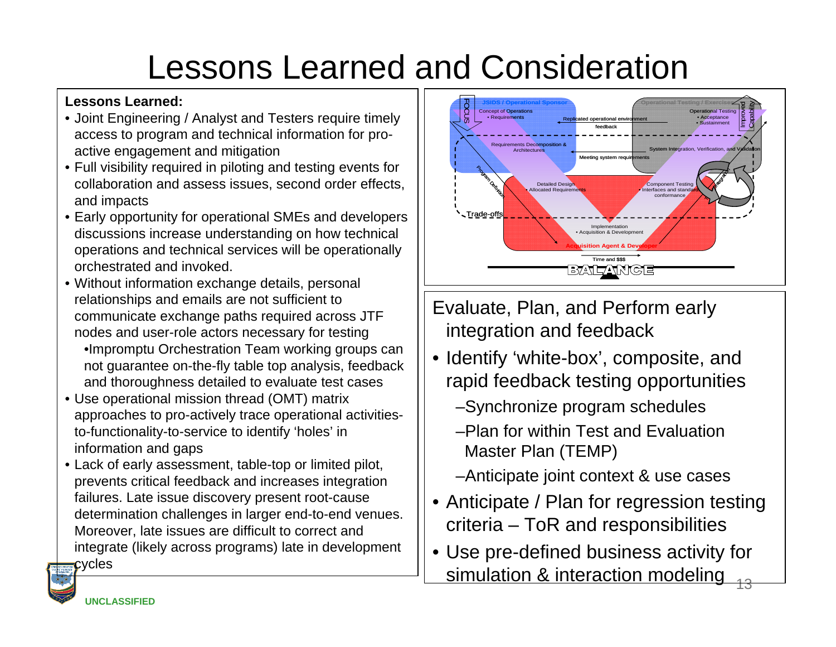#### **Lessons Learned:**

- Joint Engineering / Analyst and Testers require timely access to program and technical information for proactive engagement and mitigation
- Full visibility required in piloting and testing events for collaboration and assess issues, second order effects, and impacts
- Early opportunity for operational SMEs and developers discussions increase understanding on how technical operations and technical services will be operationally orchestrated and invoked.
- Without information exchange details, personal relationships and emails are not sufficient to communicate exchange paths required across JTF nodes and user-role actors necessary for testing •Impromptu Orchestration Team working groups can not guarantee on-the-fly table top analysis, feedback and thoroughness detailed to evaluate test cases
- Use operational mission thread (OMT) matrix approaches to pro-actively trace operational activitiesto-functionality-to-service to identify 'holes' in information and gaps
- Lack of early assessment, table-top or limited pilot, prevents critical feedback and increases integration failures. Late issue discovery present root-cause determination challenges in larger end-to-end venues. Moreover, late issues are difficult to correct and integrate (likely across programs) late in development cycles



- Evaluate, Plan, and Perform early integration and feedback
- Identify 'white-box', composite, and rapid feedback testing opportunities

#### –Synchronize program schedules

- –Plan for within Test and Evaluation Master Plan (TEMP)
- –Anticipate joint context & use cases
- Anticipate / Plan for regression testing criteria – ToR and responsibilities
- Use pre-defined business activity for simulation & interaction modeling